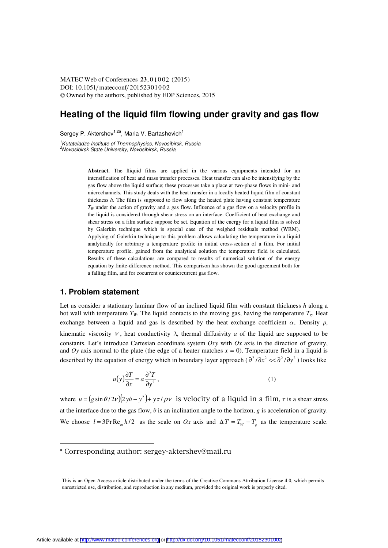DOI: 10.1051/ matecconf/ 20152301002 -<sup>C</sup> Owned by the authors, published by EDP Sciences, 2015 MATEC Web of Conferences 23, 01002 (2015)

# **Heating of the liquid film flowing under gravity and gas flow**

Sergey P. Aktershev<sup>1,2a</sup>, Maria V. Bartashevich<sup>1</sup>

1 Kutateladze Institute of Thermophysics, Novosibirsk, Russia 2 Novosibirsk State University, Novosibirsk, Russia

> **Abstract.** The lliquid films are applied in the various equipments intended for an intensification of heat and mass transfer processes. Heat transfer can also be intensifying by the gas flow above the liquid surface; these processes take a place at two-phase flows in mini- and microchannels. This study deals with the heat transfer in a locally heated liquid film of constant thickness *h*. The film is supposed to flow along the heated plate having constant temperature *T<sub>W</sub>* under the action of gravity and a gas flow. Influence of a gas flow on a velocity profile in the liquid is considered through shear stress on an interface. Coefficient of heat exchange and shear stress on a film surface suppose be set. Equation of the energy for a liquid film is solved by Galerkin technique which is special case of the weighed residuals method (WRM). Applying of Galerkin technique to this problem allows calculating the temperature in a liquid analytically for arbitrary a temperature profile in initial cross-section of a film. For initial temperature profile, gained from the analytical solution the temperature field is calculated. Results of these calculations are compared to results of numerical solution of the energy equation by finite-difference method. This comparison has shown the good agreement both for a falling film, and for cocurrent or countercurrent gas flow.

### **1. Problem statement**

<u> 1989 - Johann Barn, amerikansk politiker (</u>

Let us consider a stationary laminar flow of an inclined liquid film with constant thickness *h* along a hot wall with temperature  $T_w$ . The liquid contacts to the moving gas, having the temperature  $T_g$ . Heat exchange between a liquid and gas is described by the heat exchange coefficient  $\alpha$ . Density  $\rho$ , kinematic viscosity  $\nu$ , heat conductivity  $\lambda$ , thermal diffusivity *a* of the liquid are supposed to be constants. Let's introduce Cartesian coordinate system *Oxy* with *Ox* axis in the direction of gravity, and *Oy* axis normal to the plate (the edge of a heater matches  $x = 0$ ). Temperature field in a liquid is described by the equation of energy which in boundary layer approach ( $\frac{\partial^2}{\partial x^2} \ll \frac{\partial^2}{\partial y^2}$ ) looks like

$$
u(y)\frac{\partial T}{\partial x} = a\frac{\partial^2 T}{\partial y^2},
$$
\t(1)

where  $u = (g \sin \theta / 2\nu)(2\nu h - y^2) + y\tau / \rho \nu$  is velocity of a liquid in a film,  $\tau$  is a shear stress at the interface due to the gas flow,  $\theta$  is an inclination angle to the horizon, *g* is acceleration of gravity. We choose  $l = 3Pr \text{Re}_m h/2$  as the scale on Ox axis and  $\Delta T = T_w - T_g$  as the temperature scale.

<sup>&</sup>lt;sup>a</sup> Corresponding author: sergey-aktershey@mail.ru

This is an Open Access article distributed under the terms of the Creative Commons Attribution License 4.0, which permits unrestricted use, distribution, and reproduction in any medium, provided the original work is properly cited.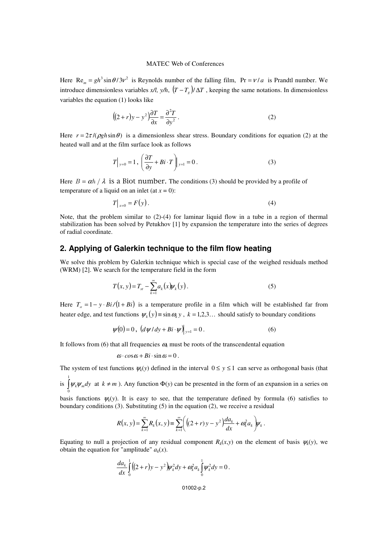#### MATEC Web of Conferences

Here  $\text{Re}_m = gh^3 \sin \theta / 3v^2$  is Reynolds number of the falling film,  $\text{Pr} = v/a$  is Prandtl number. We introduce dimensionless variables  $x/l$ ,  $y/h$ ,  $(T - T_g)/\Delta T$ , keeping the same notations. In dimensionless variables the equation (1) looks like

$$
((2+r)y - y^2)\frac{\partial T}{\partial x} = \frac{\partial^2 T}{\partial y^2}.
$$
 (2)

Here  $r = 2\tau/(\rho gh \sin \theta)$  is a dimensionless shear stress. Boundary conditions for equation (2) at the heated wall and at the film surface look as follows

$$
T\Big|_{y=0} = 1, \left(\frac{\partial T}{\partial y} + Bi \cdot T\right)\Big|_{y=1} = 0.
$$
 (3)

Here  $B = \alpha h / \lambda$  is a Biot number. The conditions (3) should be provided by a profile of temperature of a liquid on an inlet (at  $x = 0$ ):

$$
T\big|_{x=0} = F(y). \tag{4}
$$

Note, that the problem similar to (2)-(4) for laminar liquid flow in a tube in a region of thermal stabilization has been solved by Petukhov [1] by expansion the temperature into the series of degrees of radial coordinate.

# **2. Applying of Galerkin technique to the film flow heating**

We solve this problem by Galerkin technique which is special case of the weighed residuals method (WRM) [2]. We search for the temperature field in the form

$$
T(x, y) = T_{st} - \sum_{k=1}^{\infty} a_k(x) \psi_k(y).
$$
 (5)

Here  $T_s = 1 - y \cdot Bi / (1 + Bi)$  is a temperature profile in a film which will be established far from heater edge, and test functions  $\psi_k(y) = \sin \omega_k y$ ,  $k = 1,2,3...$  should satisfy to boundary conditions

$$
\psi(0) = 0, \left. \left( \frac{d\psi}{dy} + Bi \cdot \psi \right) \right|_{y=1} = 0.
$$
 (6)

It follows from (6) that all frequencies  $\omega_k$  must be roots of the transcendental equation

$$
\omega \cdot \cos \omega + Bi \cdot \sin \omega = 0.
$$

The system of test functions  $\psi_k(y)$  defined in the interval  $0 \le y \le 1$  can serve as orthogonal basis (that

is  $\int$  $\boldsymbol{0}$  $\psi_k \psi_m dy$  at  $k \neq m$ ). Any function  $\Phi(y)$  can be presented in the form of an expansion in a series on

basis functions  $\psi_k(y)$ . It is easy to see, that the temperature defined by formula (6) satisfies to boundary conditions  $(3)$ . Substituting  $(5)$  in the equation  $(2)$ , we receive a residual

$$
R(x, y) = \sum_{k=1}^{\infty} R_k(x, y) \equiv \sum_{k=1}^{\infty} \Biggl( \Bigl( (2+r) y - y^2 \Bigr) \frac{da_k}{dx} + \omega_k^2 a_k \Biggr) \psi_k.
$$

Equating to null a projection of any residual component  $R_k(x, y)$  on the element of basis  $\psi_k(y)$ , we obtain the equation for "amplitude"  $a_k(x)$ .

$$
\frac{da_k}{dx}\int_0^1 ((2+r)y - y^2)\psi_k^2 dy + \omega_k^2 a_k \int_0^1 \psi_k^2 dy = 0.
$$

01002-p.2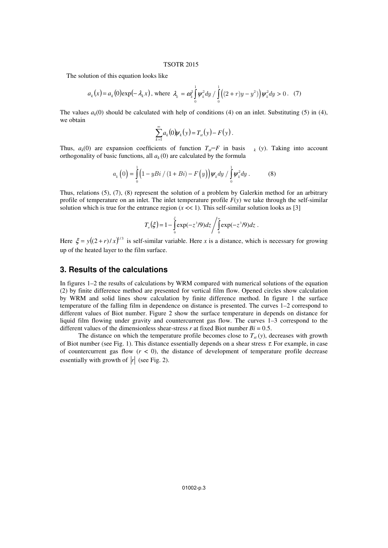### TSOTR 2015

The solution of this equation looks like

$$
a_k(x) = a_k(0) \exp(-\lambda_k x), \text{ where } \lambda_k = \omega_k^2 \int_0^1 \psi_k^2 dy / \int_0^1 ((2+r)y - y^2) \psi_k^2 dy > 0. \quad (7)
$$

The values  $a_k(0)$  should be calculated with help of conditions (4) on an inlet. Substituting (5) in (4), we obtain

$$
\sum_{k=1}^{\infty} a_k(0)\psi_k(y) = T_{st}(y) - F(y).
$$

Thus,  $a_k(0)$  are expansion coefficients of function  $T_{st}$ −*F* in basis  $k_k$  (*y*). Taking into account orthogonality of basic functions, all  $a_k(0)$  are calculated by the formula

$$
a_{k}(0) = \int_{0}^{1} (1 - yBi / (1 + Bi) - F(y)) \psi_{k} dy / \int_{0}^{1} \psi_{k}^{2} dy.
$$
 (8)

Thus, relations (5), (7), (8) represent the solution of a problem by Galerkin method for an arbitrary profile of temperature on an inlet. The inlet temperature profile  $F(y)$  we take through the self-similar solution which is true for the entrance region  $(x \ll 1)$ . This self-similar solution looks as [3]

$$
T_a(\xi) = 1 - \int_0^{\xi} \exp(-z^3/9) dz / \int_0^{\infty} \exp(-z^3/9) dz.
$$

Here  $\xi = y((2+r)/x)^{1/3}$  is self-similar variable. Here *x* is a distance, which is necessary for growing up of the heated layer to the film surface.

# **3. Results of the calculations**

In figures 1–2 the results of calculations by WRM compared with numerical solutions of the equation (2) by finite difference method are presented for vertical film flow. Opened circles show calculation by WRM and solid lines show calculation by finite difference method. In figure 1 the surface temperature of the falling film in dependence on distance is presented. The curves 1–2 correspond to different values of Biot number. Figure 2 show the surface temperature in depends on distance for liquid film flowing under gravity and countercurrent gas flow. The curves 1–3 correspond to the different values of the dimensionless shear-stress  $r$  at fixed Biot number  $Bi = 0.5$ .

The distance on which the temperature profile becomes close to  $T_{st}$  (*y*), decreases with growth of Biot number (see Fig. 1). This distance essentially depends on a shear stress  $\tau$ . For example, in case of countercurrent gas flow  $(r < 0)$ , the distance of development of temperature profile decrease essentially with growth of  $|r|$  (see Fig. 2).